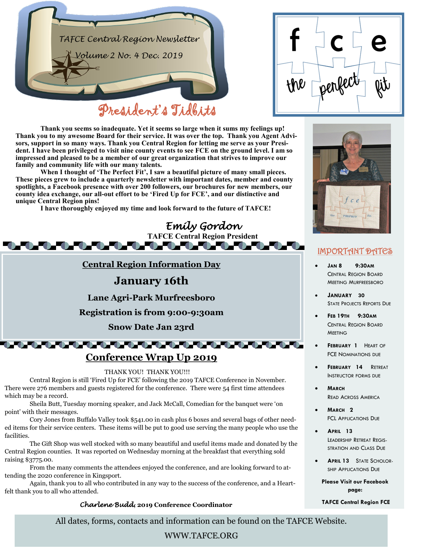

|     | e               |
|-----|-----------------|
| the | perfect.<br>ijb |

**Thank you seems so inadequate. Yet it seems so large when it sums my feelings up! Thank you to my awesome Board for their service. It was over the top. Thank you Agent Advisors, support in so many ways. Thank you Central Region for letting me serve as your President. I have been privileged to visit nine county events to see FCE on the ground level. I am so impressed and pleased to be a member of our great organization that strives to improve our family and community life with our many talents.**

**When I thought of 'The Perfect Fit', I saw a beautiful picture of many small pieces. These pieces grew to include a quarterly newsletter with important dates, member and county spotlights, a Facebook presence with over 200 followers, our brochures for new members, our county idea exchange, our all-out effort to be 'Fired Up for FCE', and our distinctive and unique Central Region pins!**

**I have thoroughly enjoyed my time and look forward to the future of TAFCE!**



point' with their messages.

Cory Jones from Buffalo Valley took \$541.00 in cash plus 6 boxes and several bags of other needed items for their service centers. These items will be put to good use serving the many people who use the facilities.

The Gift Shop was well stocked with so many beautiful and useful items made and donated by the Central Region counties. It was reported on Wednesday morning at the breakfast that everything sold raising \$3775.00.

From the many comments the attendees enjoyed the conference, and are looking forward to attending the 2020 conference in Kingsport.

Again, thank you to all who contributed in any way to the success of the conference, and a Heartfelt thank you to all who attended.

#### *Charlene Budd***, 2019 Conference Coordinator**

All dates, forms, contacts and information can be found on the TAFCE Website.

#### WWW.TAFCE.ORG



### IMPORTANT DATES

- **JAN 8 9:30AM**  CENTRAL REGION BOARD MEETING MURFREESBORO
- **JANUARY 30**  STATE PROJECTS REPORTS DUE
- **FEB 19TH 9:30AM**  CENTRAL REGION BOARD **MEETING**
- **FEBRUARY 1** HEART OF FCE NOMINATIONS DUE
- **FEBRUARY 14** RETREAT INSTRUCTOR FORMS DUE
- **MARCH**  READ ACROSS AMERICA
- **MARCH 2**  FCL APPLICATIONS DUE
- **APRIL 13**  LEADERSHIP RETREAT REGIS-STRATION AND CLASS DUE
- **APRIL 13** STATE SCHOLOR-SHIP APPLICATIONS DUE
	- **Please Visit our Facebook page:**

#### **TAFCE Central Region FCE**